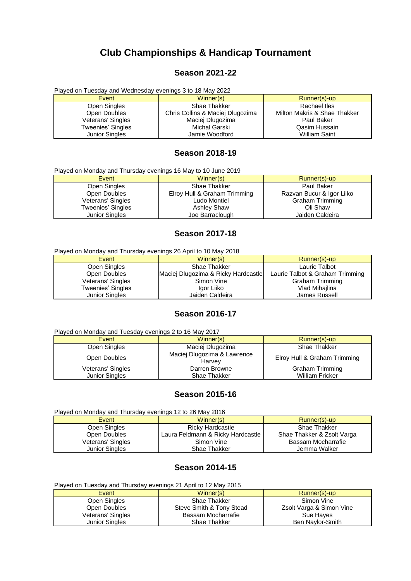# **Club Championships & Handicap Tournament**

#### **Season 2021-22**

Played on Tuesday and Wednesday evenings 3 to 18 May 2022

| Event                 | Winner(s)                        | Runner(s)-up                 |
|-----------------------|----------------------------------|------------------------------|
| Open Singles          | <b>Shae Thakker</b>              | Rachael Iles                 |
| Open Doubles          | Chris Collins & Maciej Dlugozima | Milton Makris & Shae Thakker |
| Veterans' Singles     | Maciej Dlugozima                 | Paul Baker                   |
| Tweenies' Singles     | Michal Garski                    | Qasim Hussain                |
| <b>Junior Singles</b> | Jamie Woodford                   | <b>William Saint</b>         |

# **Season 2018-19**

| Played on Monday and Thursday evenings 16 May to 10 June 2019 |                              |                           |  |
|---------------------------------------------------------------|------------------------------|---------------------------|--|
| Event                                                         | Winner(s)                    | Runner(s)-up              |  |
| Open Singles                                                  | Shae Thakker                 | Paul Baker                |  |
| Open Doubles                                                  | Elroy Hull & Graham Trimming | Razvan Bucur & Igor Liiko |  |
| Veterans' Singles                                             | Ludo Montiel                 | <b>Graham Trimming</b>    |  |
| Tweenies' Singles                                             | <b>Ashley Shaw</b>           | Oli Shaw                  |  |
| <b>Junior Singles</b>                                         | Joe Barraclough              | Jaiden Caldeira           |  |

#### **Season 2017-18**

Played on Monday and Thursday evenings 26 April to 10 May 2018

| Event                 | Winner(s)                           | Runner(s)-up                    |
|-----------------------|-------------------------------------|---------------------------------|
| Open Singles          | Shae Thakker                        | Laurie Talbot                   |
| Open Doubles          | Maciej Dlugozima & Ricky Hardcastle | Laurie Talbot & Graham Trimming |
| Veterans' Singles     | Simon Vine                          | <b>Graham Trimming</b>          |
| Tweenies' Singles     | Igor Liiko                          | Vlad Mihajlina                  |
| <b>Junior Singles</b> | Jaiden Caldeira                     | James Russell                   |

#### **Season 2016-17**

| Played on Monday and Tuesday evenings 2 to 16 May 2017 |                                       |                              |  |
|--------------------------------------------------------|---------------------------------------|------------------------------|--|
| Event                                                  | Winner(s)                             | Runner(s)-up                 |  |
| Open Singles                                           | Maciej Dlugozima                      | Shae Thakker                 |  |
| Open Doubles                                           | Maciej Dlugozima & Lawrence<br>Harvey | Elroy Hull & Graham Trimming |  |
| Veterans' Singles                                      | Darren Browne                         | Graham Trimming              |  |
| <b>Junior Singles</b>                                  | Shae Thakker                          | <b>William Fricker</b>       |  |

#### **Season 2015-16**

| Played on Monday and Thursday evenings 12 to 26 May 2016 |                                   |                            |  |
|----------------------------------------------------------|-----------------------------------|----------------------------|--|
| Event                                                    | Winner(s)                         | Runner(s)-up               |  |
| Open Singles                                             | <b>Ricky Hardcastle</b>           | Shae Thakker               |  |
| Open Doubles                                             | Laura Feldmann & Ricky Hardcastle | Shae Thakker & Zsolt Varga |  |
| Veterans' Singles                                        | Simon Vine                        | Bassam Mocharrafie         |  |
| <b>Junior Singles</b>                                    | Shae Thakker                      | Jemma Walker               |  |

# **Season 2014-15**

| Played on Tuesday and Thursday evenings 21 April to 12 May 2015 |                          |                          |
|-----------------------------------------------------------------|--------------------------|--------------------------|
| Event                                                           | Winner(s)                | Runner(s)-up             |
| Open Singles                                                    | Shae Thakker             | Simon Vine               |
| Open Doubles                                                    | Steve Smith & Tony Stead | Zsolt Varga & Simon Vine |
| Veterans' Singles                                               | Bassam Mocharrafie       | Sue Hayes                |
| <b>Junior Singles</b>                                           | Shae Thakker             | Ben Naylor-Smith         |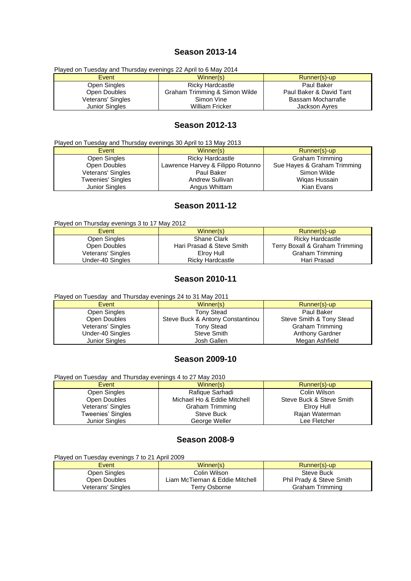#### **Season 2013-14**

| Played on Tuesday and Thursday evenings 22 April to 6 May 2014 |                               |                         |
|----------------------------------------------------------------|-------------------------------|-------------------------|
| Event                                                          | Winner(s)                     | Runner(s)-up            |
| Open Singles                                                   | <b>Ricky Hardcastle</b>       | Paul Baker              |
| Open Doubles                                                   | Graham Trimming & Simon Wilde | Paul Baker & David Tant |
| Veterans' Singles                                              | Simon Vine                    | Bassam Mocharrafie      |
| Junior Singles                                                 | <b>William Fricker</b>        | Jackson Ayres           |

#### **Season 2012-13**

Played on Tuesday and Thursday evenings 30 April to 13 May 2013

| Event             | Winner(s)                         | Runner(s)-up                |
|-------------------|-----------------------------------|-----------------------------|
| Open Singles      | <b>Ricky Hardcastle</b>           | <b>Graham Trimming</b>      |
| Open Doubles      | Lawrence Harvey & Filippo Rotunno | Sue Hayes & Graham Trimming |
| Veterans' Singles | Paul Baker                        | Simon Wilde                 |
| Tweenies' Singles | Andrew Sullivan                   | Wigas Hussain               |
| Junior Singles    | Angus Whittam                     | Kian Evans                  |

# **Season 2011-12**

Played on Thursday evenings 3 to 17 May 2012

| Event             | Winner(s)                 | Runner(s)-up                   |
|-------------------|---------------------------|--------------------------------|
| Open Singles      | <b>Shane Clark</b>        | Ricky Hardcastle               |
| Open Doubles      | Hari Prasad & Steve Smith | Terry Boxall & Graham Trimming |
| Veterans' Singles | Elrov Hull                | Graham Trimming                |
| Under-40 Singles  | Ricky Hardcastle          | Hari Prasad                    |

#### **Season 2010-11**

| Played on Tuesday and Thursday evenings 24 to 31 May 2011 |                                  |                          |  |
|-----------------------------------------------------------|----------------------------------|--------------------------|--|
| Event                                                     | Winner(s)                        | Runner(s)-up             |  |
| Open Singles                                              | <b>Tony Stead</b>                | Paul Baker               |  |
| Open Doubles                                              | Steve Buck & Antony Constantinou | Steve Smith & Tony Stead |  |
| Veterans' Singles                                         | <b>Tony Stead</b>                | <b>Graham Trimming</b>   |  |
| Under-40 Singles                                          | Steve Smith                      | <b>Anthony Gardner</b>   |  |
| <b>Junior Singles</b>                                     | Josh Gallen                      | Megan Ashfield           |  |

## **Season 2009-10**

| Played on Tuesday and Thursday evenings 4 to 27 May 2010 |                             |                          |
|----------------------------------------------------------|-----------------------------|--------------------------|
| Event                                                    | Winner(s)                   | Runner(s)-up             |
| Open Singles                                             | Rafique Sarhadi             | Colin Wilson             |
| Open Doubles                                             | Michael Ho & Eddie Mitchell | Steve Buck & Steve Smith |
| Veterans' Singles                                        | <b>Graham Trimming</b>      | Elroy Hull               |
| Tweenies' Singles                                        | Steve Buck                  | Rajan Waterman           |
| <b>Junior Singles</b>                                    | George Weller               | Lee Fletcher             |

# **Season 2008-9**

Played on Tuesday evenings 7 to 21 April 2009

| Event             | Winner(s)                       | Runner(s)-up             |
|-------------------|---------------------------------|--------------------------|
| Open Singles      | Colin Wilson                    | Steve Buck               |
| Open Doubles      | Liam McTiernan & Eddie Mitchell | Phil Prady & Steve Smith |
| Veterans' Singles | Terry Osborne                   | Graham Trimming          |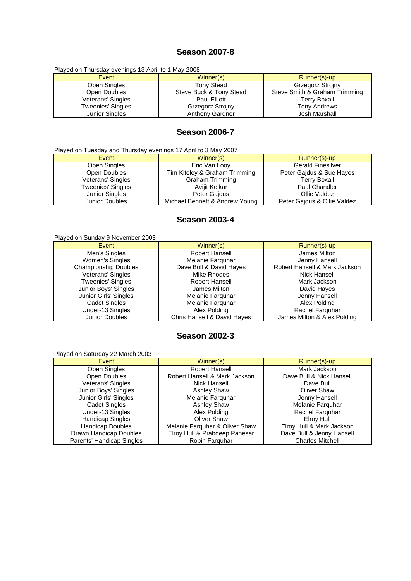## **Season 2007-8**

Played on Thursday evenings 13 April to 1 May 2008

| Event                 | Winner(s)               | Runner(s)-up                  |
|-----------------------|-------------------------|-------------------------------|
| Open Singles          | <b>Tony Stead</b>       | Grzegorz Strojny              |
| Open Doubles          | Steve Buck & Tony Stead | Steve Smith & Graham Trimming |
| Veterans' Singles     | Paul Elliott            | <b>Terry Boxall</b>           |
| Tweenies' Singles     | <b>Grzegorz Strojny</b> | <b>Tony Andrews</b>           |
| <b>Junior Singles</b> | <b>Anthony Gardner</b>  | Josh Marshall                 |

# **Season 2006-7**

| Played on Tuesday and Thursday evenings 17 April to 3 May 2007 |  |
|----------------------------------------------------------------|--|
|                                                                |  |

| Event                    | Winner(s)                      | Runner(s)-up                |
|--------------------------|--------------------------------|-----------------------------|
| Open Singles             | Eric Van Looy                  | <b>Gerald Finesilver</b>    |
| Open Doubles             | Tim Kiteley & Graham Trimming  | Peter Gajdus & Sue Hayes    |
| Veterans' Singles        | <b>Graham Trimming</b>         | <b>Terry Boxall</b>         |
| <b>Tweenies' Singles</b> | Avijit Kelkar                  | Paul Chandler               |
| Junior Singles           | Peter Gaidus                   | Ollie Valdez                |
| Junior Doubles           | Michael Bennett & Andrew Young | Peter Gaidus & Ollie Valdez |

# **Season 2003-4**

#### Played on Sunday 9 November 2003

| Event                       | Winner(s)                   | Runner(s)-up                  |
|-----------------------------|-----------------------------|-------------------------------|
| Men's Singles               | Robert Hansell              | James Milton                  |
| Women's Singles             | Melanie Farquhar            | Jenny Hansell                 |
| <b>Championship Doubles</b> | Dave Bull & David Hayes     | Robert Hansell & Mark Jackson |
| Veterans' Singles           | Mike Rhodes                 | Nick Hansell                  |
| <b>Tweenies' Singles</b>    | Robert Hansell              | Mark Jackson                  |
| Junior Boys' Singles        | James Milton                | David Hayes                   |
| Junior Girls' Singles       | Melanie Farguhar            | Jenny Hansell                 |
| <b>Cadet Singles</b>        | Melanie Farquhar            | Alex Polding                  |
| Under-13 Singles            | Alex Polding                | Rachel Farguhar               |
| Junior Doubles              | Chris Hansell & David Hayes | James Milton & Alex Polding   |

# **Season 2002-3**

#### Played on Saturday 22 March 2003

| Event                     | Winner(s)                      | Runner(s)-up              |
|---------------------------|--------------------------------|---------------------------|
| Open Singles              | Robert Hansell                 | Mark Jackson              |
| Open Doubles              | Robert Hansell & Mark Jackson  | Dave Bull & Nick Hansell  |
| Veterans' Singles         | Nick Hansell                   | Dave Bull                 |
| Junior Boys' Singles      | <b>Ashley Shaw</b>             | Oliver Shaw               |
| Junior Girls' Singles     | Melanie Farguhar               | Jenny Hansell             |
| <b>Cadet Singles</b>      | Ashley Shaw                    | Melanie Farguhar          |
| Under-13 Singles          | Alex Polding                   | Rachel Farguhar           |
| <b>Handicap Singles</b>   | <b>Oliver Shaw</b>             | Elroy Hull                |
| <b>Handicap Doubles</b>   | Melanie Farguhar & Oliver Shaw | Elroy Hull & Mark Jackson |
| Drawn Handicap Doubles    | Elroy Hull & Prabdeep Panesar  | Dave Bull & Jenny Hansell |
| Parents' Handicap Singles | Robin Farguhar                 | <b>Charles Mitchell</b>   |